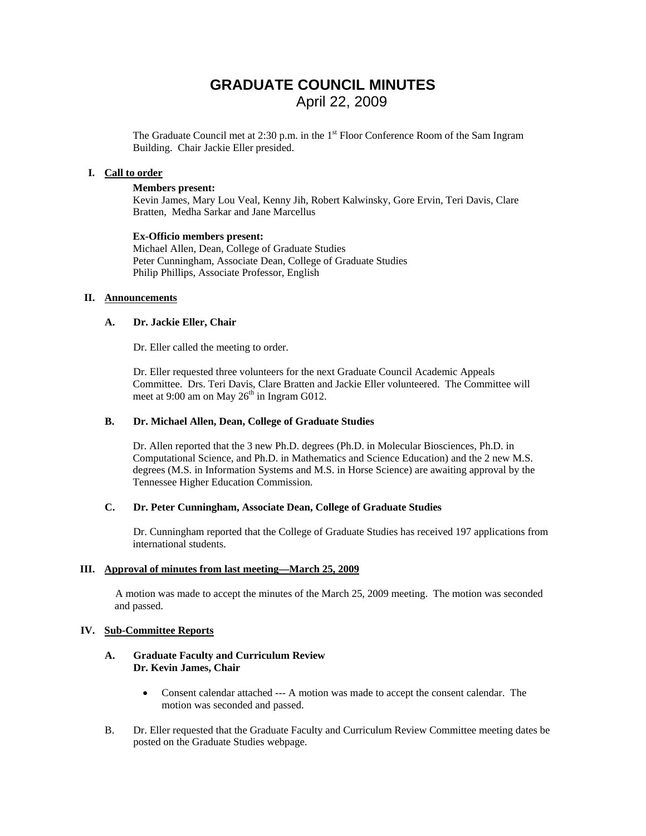# **GRADUATE COUNCIL MINUTES**  April 22, 2009

The Graduate Council met at 2:30 p.m. in the 1<sup>st</sup> Floor Conference Room of the Sam Ingram Building. Chair Jackie Eller presided.

### **I. Call to order**

### **Members present:**

Kevin James, Mary Lou Veal, Kenny Jih, Robert Kalwinsky, Gore Ervin, Teri Davis, Clare Bratten, Medha Sarkar and Jane Marcellus

#### **Ex-Officio members present:**

Michael Allen, Dean, College of Graduate Studies Peter Cunningham, Associate Dean, College of Graduate Studies Philip Phillips, Associate Professor, English

### **II. Announcements**

### **A. Dr. Jackie Eller, Chair**

Dr. Eller called the meeting to order.

Dr. Eller requested three volunteers for the next Graduate Council Academic Appeals Committee. Drs. Teri Davis, Clare Bratten and Jackie Eller volunteered. The Committee will meet at 9:00 am on May  $26<sup>th</sup>$  in Ingram G012.

### **B. Dr. Michael Allen, Dean, College of Graduate Studies**

Dr. Allen reported that the 3 new Ph.D. degrees (Ph.D. in Molecular Biosciences, Ph.D. in Computational Science, and Ph.D. in Mathematics and Science Education) and the 2 new M.S. degrees (M.S. in Information Systems and M.S. in Horse Science) are awaiting approval by the Tennessee Higher Education Commission.

### **C. Dr. Peter Cunningham, Associate Dean, College of Graduate Studies**

Dr. Cunningham reported that the College of Graduate Studies has received 197 applications from international students.

### **III. Approval of minutes from last meeting—March 25, 2009**

A motion was made to accept the minutes of the March 25, 2009 meeting. The motion was seconded and passed.

### **IV. Sub-Committee Reports**

### **A. Graduate Faculty and Curriculum Review Dr. Kevin James, Chair**

- Consent calendar attached --- A motion was made to accept the consent calendar. The motion was seconded and passed.
- B. Dr. Eller requested that the Graduate Faculty and Curriculum Review Committee meeting dates be posted on the Graduate Studies webpage.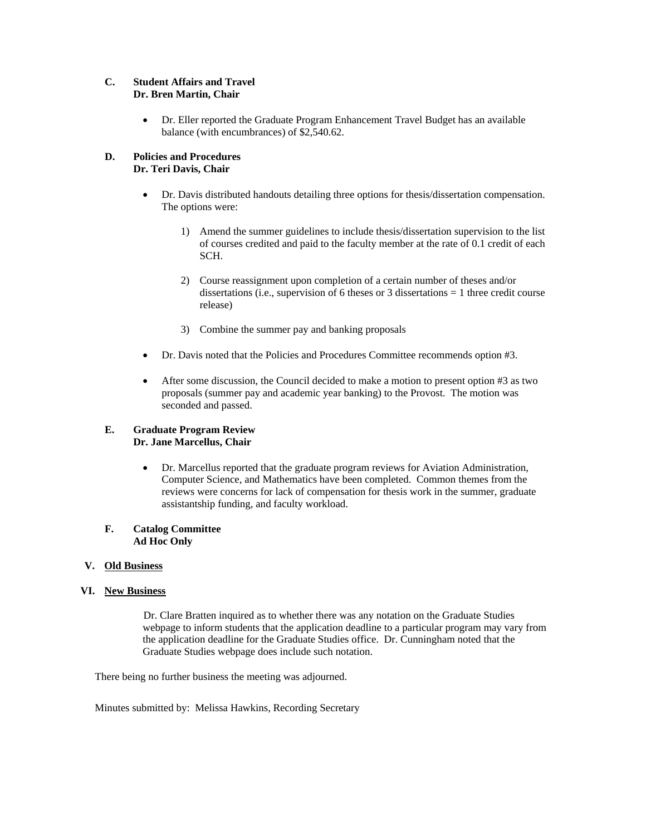### **C. Student Affairs and Travel Dr. Bren Martin, Chair**

• Dr. Eller reported the Graduate Program Enhancement Travel Budget has an available balance (with encumbrances) of \$2,540.62.

### **D. Policies and Procedures Dr. Teri Davis, Chair**

- Dr. Davis distributed handouts detailing three options for thesis/dissertation compensation. The options were:
	- 1) Amend the summer guidelines to include thesis/dissertation supervision to the list of courses credited and paid to the faculty member at the rate of 0.1 credit of each SCH.
	- 2) Course reassignment upon completion of a certain number of theses and/or dissertations (i.e., supervision of 6 theses or 3 dissertations = 1 three credit course release)
	- 3) Combine the summer pay and banking proposals
- Dr. Davis noted that the Policies and Procedures Committee recommends option #3.
- After some discussion, the Council decided to make a motion to present option #3 as two proposals (summer pay and academic year banking) to the Provost. The motion was seconded and passed.

### **E. Graduate Program Review Dr. Jane Marcellus, Chair**

• Dr. Marcellus reported that the graduate program reviews for Aviation Administration, Computer Science, and Mathematics have been completed. Common themes from the reviews were concerns for lack of compensation for thesis work in the summer, graduate assistantship funding, and faculty workload.

### **F. Catalog Committee Ad Hoc Only**

### **V. Old Business**

### **VI. New Business**

 Dr. Clare Bratten inquired as to whether there was any notation on the Graduate Studies webpage to inform students that the application deadline to a particular program may vary from the application deadline for the Graduate Studies office. Dr. Cunningham noted that the Graduate Studies webpage does include such notation.

There being no further business the meeting was adjourned.

Minutes submitted by: Melissa Hawkins, Recording Secretary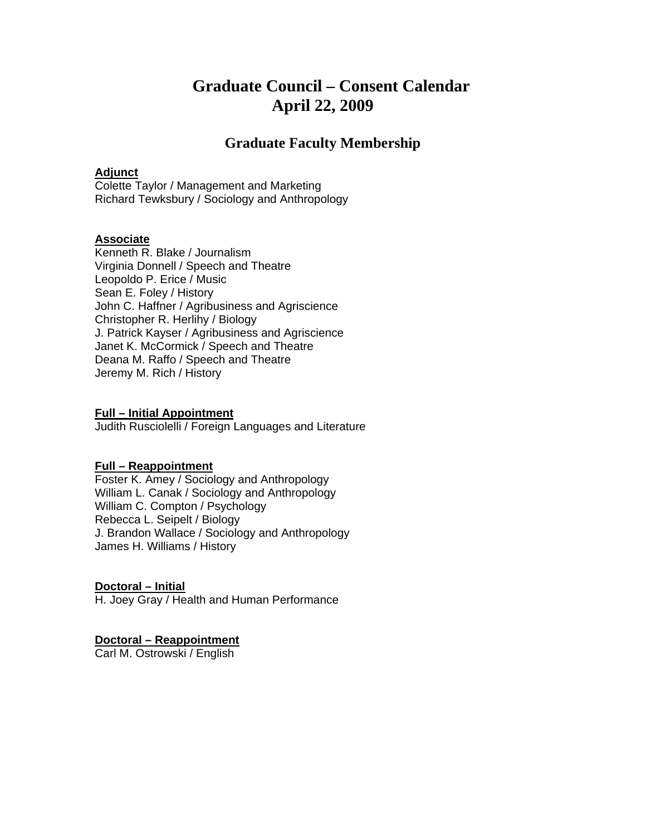# **Graduate Council – Consent Calendar April 22, 2009**

# **Graduate Faculty Membership**

## **Adjunct**

Colette Taylor / Management and Marketing Richard Tewksbury / Sociology and Anthropology

## **Associate**

Kenneth R. Blake / Journalism Virginia Donnell / Speech and Theatre Leopoldo P. Erice / Music Sean E. Foley / History John C. Haffner / Agribusiness and Agriscience Christopher R. Herlihy / Biology J. Patrick Kayser / Agribusiness and Agriscience Janet K. McCormick / Speech and Theatre Deana M. Raffo / Speech and Theatre Jeremy M. Rich / History

## **Full – Initial Appointment**

Judith Rusciolelli / Foreign Languages and Literature

## **Full – Reappointment**

Foster K. Amey / Sociology and Anthropology William L. Canak / Sociology and Anthropology William C. Compton / Psychology Rebecca L. Seipelt / Biology J. Brandon Wallace / Sociology and Anthropology James H. Williams / History

### **Doctoral – Initial**

H. Joey Gray / Health and Human Performance

### **Doctoral – Reappointment**

Carl M. Ostrowski / English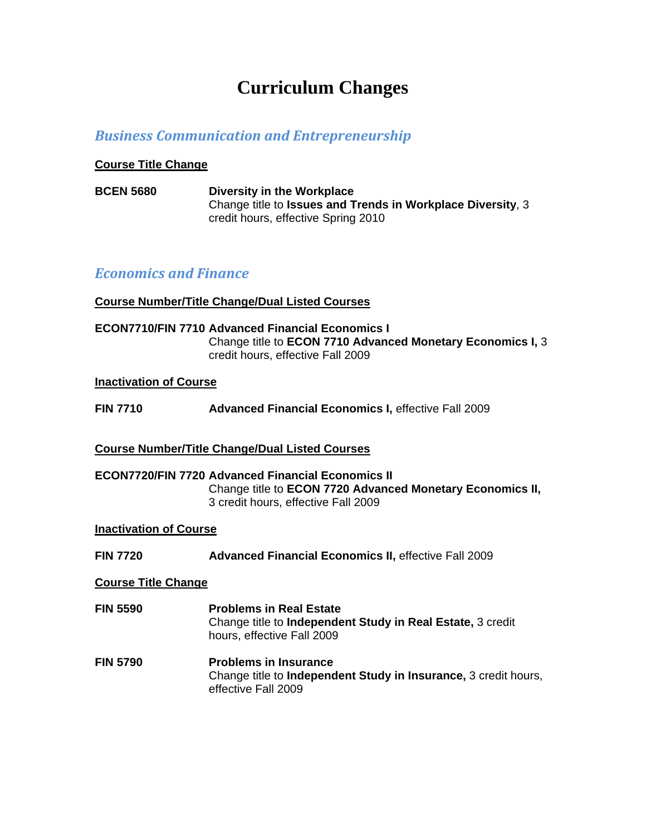# **Curriculum Changes**

# *Business Communication and Entrepreneurship*

## **Course Title Change**

**BCEN 5680 Diversity in the Workplace**  Change title to **Issues and Trends in Workplace Diversity**, 3 credit hours, effective Spring 2010

## *Economics and Finance*

## **Course Number/Title Change/Dual Listed Courses**

**ECON7710/FIN 7710 Advanced Financial Economics I**  Change title to **ECON 7710 Advanced Monetary Economics I,** 3 credit hours, effective Fall 2009

## **Inactivation of Course**

**FIN 7710 Advanced Financial Economics I,** effective Fall 2009

## **Course Number/Title Change/Dual Listed Courses**

**ECON7720/FIN 7720 Advanced Financial Economics II**  Change title to **ECON 7720 Advanced Monetary Economics II,**  3 credit hours, effective Fall 2009

### **Inactivation of Course**

**FIN 7720 Advanced Financial Economics II,** effective Fall 2009

### **Course Title Change**

- **FIN 5590 Problems in Real Estate**  Change title to **Independent Study in Real Estate,** 3 credit hours, effective Fall 2009
- **FIN 5790 Problems in Insurance**  Change title to **Independent Study in Insurance,** 3 credit hours, effective Fall 2009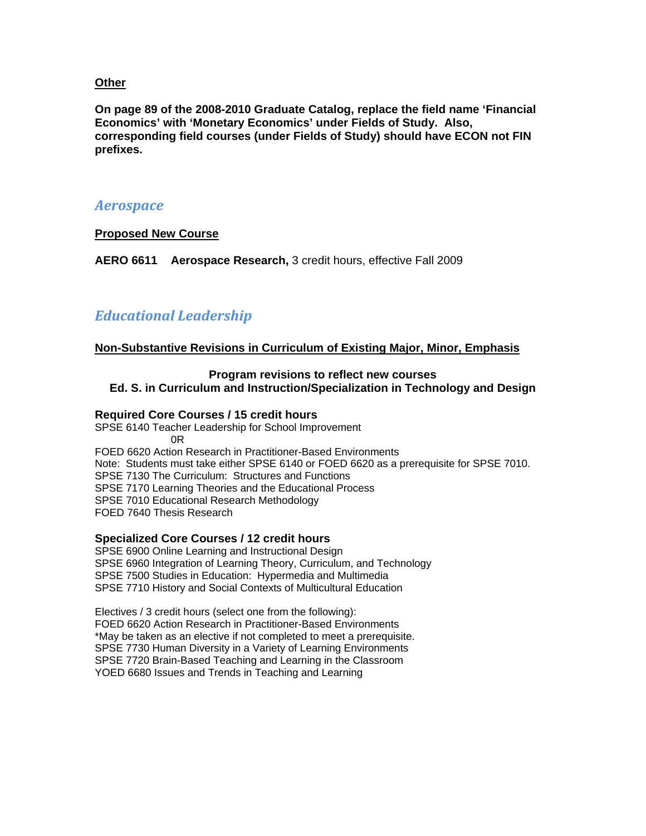## **Other**

**On page 89 of the 2008-2010 Graduate Catalog, replace the field name 'Financial Economics' with 'Monetary Economics' under Fields of Study. Also, corresponding field courses (under Fields of Study) should have ECON not FIN prefixes.** 

## *Aerospace*

## **Proposed New Course**

**AERO 6611 Aerospace Research,** 3 credit hours, effective Fall 2009

# *Educational Leadership*

## **Non-Substantive Revisions in Curriculum of Existing Major, Minor, Emphasis**

# **Program revisions to reflect new courses**

**Ed. S. in Curriculum and Instruction/Specialization in Technology and Design** 

## **Required Core Courses / 15 credit hours**

SPSE 6140 Teacher Leadership for School Improvement 0R FOED 6620 Action Research in Practitioner-Based Environments Note: Students must take either SPSE 6140 or FOED 6620 as a prerequisite for SPSE 7010. SPSE 7130 The Curriculum: Structures and Functions SPSE 7170 Learning Theories and the Educational Process SPSE 7010 Educational Research Methodology FOED 7640 Thesis Research

### **Specialized Core Courses / 12 credit hours**

SPSE 6900 Online Learning and Instructional Design SPSE 6960 Integration of Learning Theory, Curriculum, and Technology SPSE 7500 Studies in Education: Hypermedia and Multimedia SPSE 7710 History and Social Contexts of Multicultural Education

Electives / 3 credit hours (select one from the following): FOED 6620 Action Research in Practitioner-Based Environments \*May be taken as an elective if not completed to meet a prerequisite. SPSE 7730 Human Diversity in a Variety of Learning Environments SPSE 7720 Brain-Based Teaching and Learning in the Classroom YOED 6680 Issues and Trends in Teaching and Learning